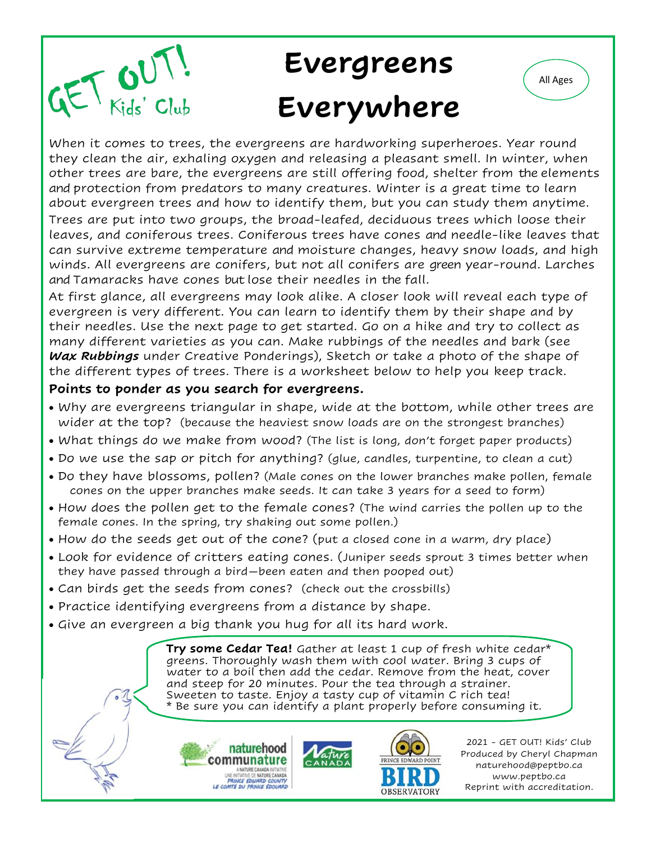

# **Evergreens Everywhere**



At first glance, all evergreens may look alike. A closer look will reveal each type of evergreen is very different. You can learn to identify them by their shape and by their needles. Use the next page to get started. Go on a hike and try to collect as many different varieties as you can. Make rubbings of the needles and bark (see *Wax Rubbings* under Creative Ponderings), Sketch or take a photo of the shape of the different types of trees. There is a worksheet below to help you keep track.

#### **Points to ponder as you search for evergreens.**

- Why are evergreens triangular in shape, wide at the bottom, while other trees are wider at the top? (because the heaviest snow loads are on the strongest branches)
- What things do we make from wood? (The list is long, don't forget paper products)
- Do we use the sap or pitch for anything? (glue, candles, turpentine, to clean a cut)
- Do they have blossoms, pollen? (Male cones on the lower branches make pollen, female cones on the upper branches make seeds. It can take 3 years for a seed to form)
- How does the pollen get to the female cones? (The wind carries the pollen up to the female cones. In the spring, try shaking out some pollen.)
- How do the seeds get out of the cone? (put a closed cone in a warm, dry place)
- Look for evidence of critters eating cones. (Juniper seeds sprout 3 times better when they have passed through a bird—been eaten and then pooped out)
- Can birds get the seeds from cones? (check out the crossbills)
- Practice identifying evergreens from a distance by shape.
- Give an evergreen a big thank you hug for all its hard work.

**Try some Cedar Tea!** Gather at least 1 cup of fresh white cedar\* greens. Thoroughly wash them with cool water. Bring 3 cups of water to a boil then add the cedar. Remove from the heat, cover and steep for 20 minutes. Pour the tea through a strainer. Sweeten to taste. Enjoy a tasty cup of vitamin C rich tea! \* Be sure you can identify a plant properly before consuming it.





2021 - GET OUT! Kids' Club Produced by Cheryl Chapman naturehood@peptbo.ca www.peptbo.ca Reprint with accreditation.

All Ages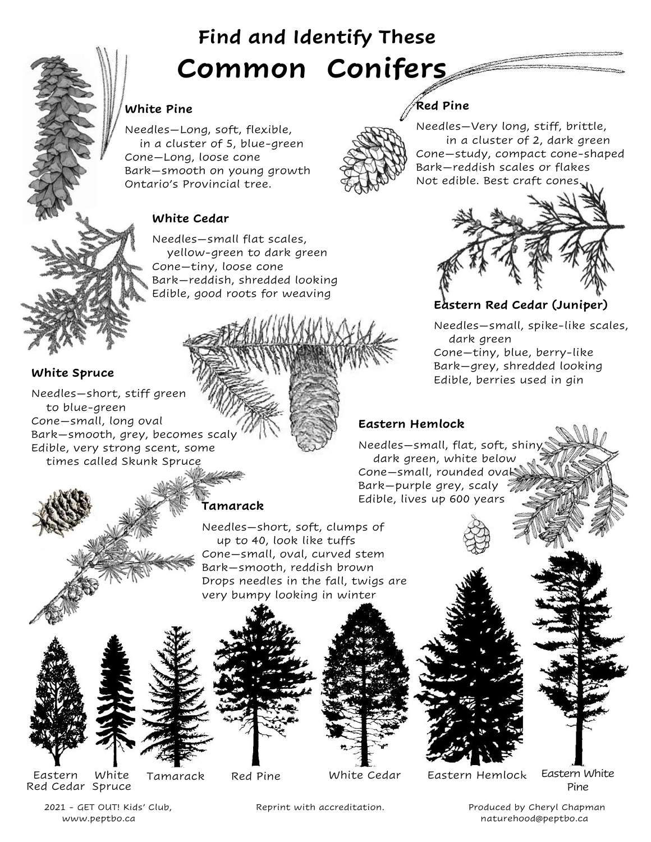## **Find and Identify These Common Conifers**

#### **White Pine**

Needles—Long, soft, flexible, in a cluster of 5, blue-green Cone—Long, loose cone Bark—smooth on young growth Ontario's Provincial tree.

#### **White Cedar**

Needles—small flat scales, yellow-green to dark green Cone—tiny, loose cone Bark—reddish, shredded looking Edible, good roots for weaving

#### **White Spruce**

Needles—short, stiff green to blue-green Cone—small, long oval Bark—smooth, grey, becomes scaly Edible, very strong scent, some times called Skunk Spruce

Needles—Very long, stiff, brittle, in a cluster of 2, dark green Cone—study, compact cone-shaped Bark—reddish scales or flakes Not edible. Best craft cones.



**Eastern Red Cedar (Juniper)**

Needles—small, spike-like scales, dark green Cone—tiny, blue, berry-like Bark—grey, shredded looking Edible, berries used in gin

#### **Eastern Hemlock**

Needles—small, flat, soft, shiny dark green, white below Cone—small, rounded oval Bark—purple grey, scaly Edible, lives up 600 years

**Red Pine**

### **Tamarack**

Needles—short, soft, clumps of up to 40, look like tuffs Cone—small, oval, curved stem Bark—smooth, reddish brown Drops needles in the fall, twigs are very bumpy looking in winter





Eastern Red Cedar Spruce White

White Cedar

Tamarack Red Pine White Cedar Eastern Hemlock Eastern White

Pine

2021 - GET OUT! Kids' Club, Reprint with accreditation. Produced by Cheryl Chapman www.peptbo.ca naturehood@peptbo.ca naturehood@peptbo.ca